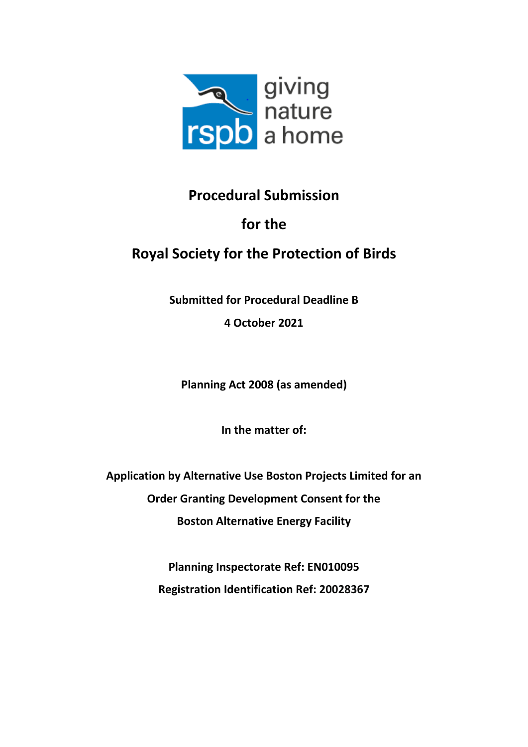

### **Procedural Submission**

## **for the**

# **Royal Society for the Protection of Birds**

**Submitted for Procedural Deadline B**

**4 October 2021**

**Planning Act 2008 (as amended)**

**In the matter of:**

**Application by Alternative Use Boston Projects Limited for an Order Granting Development Consent for the Boston Alternative Energy Facility**

> **Planning Inspectorate Ref: EN010095 Registration Identification Ref: 20028367**